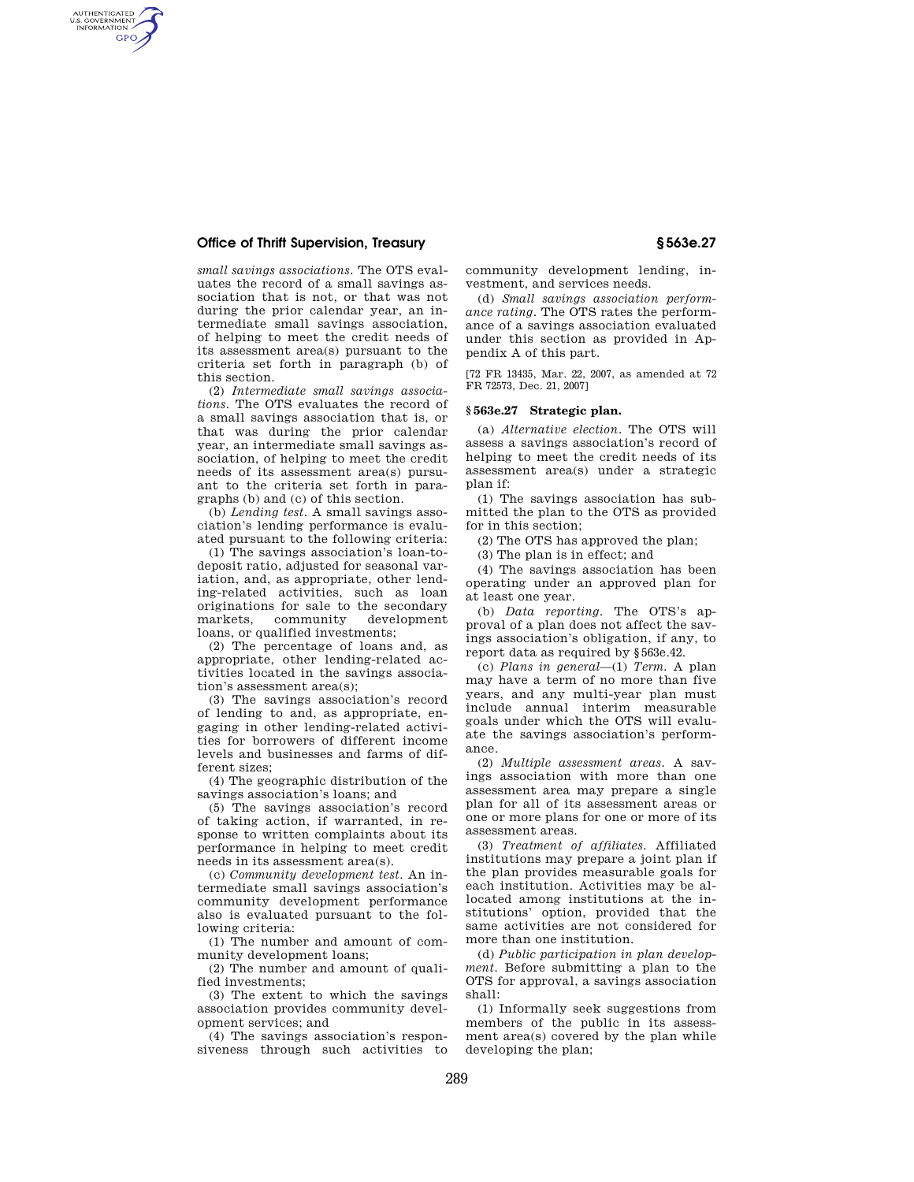## **Office of Thrift Supervision, Treasury § 563e.27**

AUTHENTICATED<br>U.S. GOVERNMENT<br>INFORMATION GPO

> *small savings associations.* The OTS evaluates the record of a small savings association that is not, or that was not during the prior calendar year, an intermediate small savings association, of helping to meet the credit needs of its assessment area(s) pursuant to the criteria set forth in paragraph (b) of this section.

> (2) *Intermediate small savings associations*. The OTS evaluates the record of a small savings association that is, or that was during the prior calendar year, an intermediate small savings association, of helping to meet the credit needs of its assessment area(s) pursuant to the criteria set forth in paragraphs (b) and (c) of this section.

> (b) *Lending test*. A small savings association's lending performance is evaluated pursuant to the following criteria:

> (1) The savings association's loan-todeposit ratio, adjusted for seasonal variation, and, as appropriate, other lending-related activities, such as loan originations for sale to the secondary<br>markets. community development markets, community loans, or qualified investments;

> (2) The percentage of loans and, as appropriate, other lending-related activities located in the savings association's assessment area(s);

> (3) The savings association's record of lending to and, as appropriate, engaging in other lending-related activities for borrowers of different income levels and businesses and farms of different sizes;

> (4) The geographic distribution of the savings association's loans; and

> (5) The savings association's record of taking action, if warranted, in response to written complaints about its performance in helping to meet credit needs in its assessment area(s).

> (c) *Community development test*. An intermediate small savings association's community development performance also is evaluated pursuant to the following criteria:

> (1) The number and amount of community development loans;

> (2) The number and amount of qualified investments;

> (3) The extent to which the savings association provides community development services; and

> (4) The savings association's responsiveness through such activities to

community development lending, investment, and services needs.

(d) *Small savings association performance rating*. The OTS rates the performance of a savings association evaluated under this section as provided in Appendix A of this part.

[72 FR 13435, Mar. 22, 2007, as amended at 72 FR 72573, Dec. 21, 2007]

#### **§ 563e.27 Strategic plan.**

(a) *Alternative election.* The OTS will assess a savings association's record of helping to meet the credit needs of its assessment area(s) under a strategic plan if:

(1) The savings association has submitted the plan to the OTS as provided for in this section;

(2) The OTS has approved the plan;

(3) The plan is in effect; and

(4) The savings association has been operating under an approved plan for at least one year.

(b) *Data reporting.* The OTS's approval of a plan does not affect the savings association's obligation, if any, to report data as required by §563e.42.

(c) *Plans in general*—(1) *Term.* A plan may have a term of no more than five years, and any multi-year plan must include annual interim measurable goals under which the OTS will evaluate the savings association's performance.

(2) *Multiple assessment areas.* A savings association with more than one assessment area may prepare a single plan for all of its assessment areas or one or more plans for one or more of its assessment areas.

(3) *Treatment of affiliates.* Affiliated institutions may prepare a joint plan if the plan provides measurable goals for each institution. Activities may be allocated among institutions at the institutions' option, provided that the same activities are not considered for more than one institution.

(d) *Public participation in plan development.* Before submitting a plan to the OTS for approval, a savings association shall:

(1) Informally seek suggestions from members of the public in its assessment area(s) covered by the plan while developing the plan;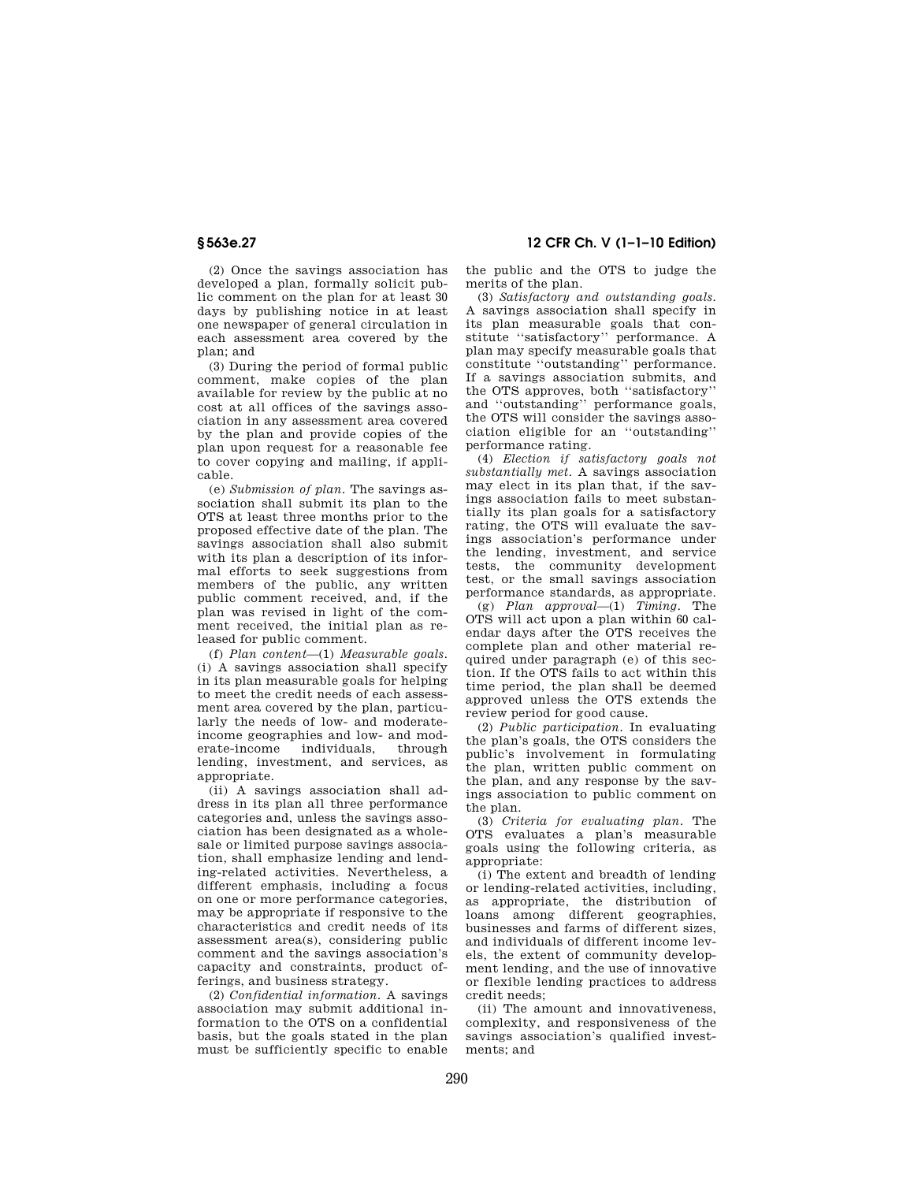**§ 563e.27 12 CFR Ch. V (1–1–10 Edition)** 

(2) Once the savings association has developed a plan, formally solicit public comment on the plan for at least 30 days by publishing notice in at least one newspaper of general circulation in each assessment area covered by the plan; and

(3) During the period of formal public comment, make copies of the plan available for review by the public at no cost at all offices of the savings association in any assessment area covered by the plan and provide copies of the plan upon request for a reasonable fee to cover copying and mailing, if applicable.

(e) *Submission of plan.* The savings association shall submit its plan to the OTS at least three months prior to the proposed effective date of the plan. The savings association shall also submit with its plan a description of its informal efforts to seek suggestions from members of the public, any written public comment received, and, if the plan was revised in light of the comment received, the initial plan as released for public comment.

(f) *Plan content*—(1) *Measurable goals.*  (i) A savings association shall specify in its plan measurable goals for helping to meet the credit needs of each assessment area covered by the plan, particularly the needs of low- and moderateincome geographies and low- and moderate-income individuals, through lending, investment, and services, as appropriate.

(ii) A savings association shall address in its plan all three performance categories and, unless the savings association has been designated as a wholesale or limited purpose savings association, shall emphasize lending and lending-related activities. Nevertheless, a different emphasis, including a focus on one or more performance categories, may be appropriate if responsive to the characteristics and credit needs of its assessment area(s), considering public comment and the savings association's capacity and constraints, product offerings, and business strategy.

(2) *Confidential information.* A savings association may submit additional information to the OTS on a confidential basis, but the goals stated in the plan must be sufficiently specific to enable the public and the OTS to judge the merits of the plan.

(3) *Satisfactory and outstanding goals.*  A savings association shall specify in its plan measurable goals that constitute ''satisfactory'' performance. A plan may specify measurable goals that constitute ''outstanding'' performance. If a savings association submits, and the OTS approves, both ''satisfactory'' and ''outstanding'' performance goals, the OTS will consider the savings association eligible for an ''outstanding'' performance rating.

(4) *Election if satisfactory goals not substantially met.* A savings association may elect in its plan that, if the savings association fails to meet substantially its plan goals for a satisfactory rating, the OTS will evaluate the savings association's performance under the lending, investment, and service tests, the community development test, or the small savings association performance standards, as appropriate.

(g) *Plan approval*—(1) *Timing.* The OTS will act upon a plan within 60 calendar days after the OTS receives the complete plan and other material required under paragraph (e) of this section. If the OTS fails to act within this time period, the plan shall be deemed approved unless the OTS extends the review period for good cause.

(2) *Public participation.* In evaluating the plan's goals, the OTS considers the public's involvement in formulating the plan, written public comment on the plan, and any response by the savings association to public comment on the plan.

(3) *Criteria for evaluating plan.* The OTS evaluates a plan's measurable goals using the following criteria, as appropriate:

(i) The extent and breadth of lending or lending-related activities, including, as appropriate, the distribution of loans among different geographies, businesses and farms of different sizes, and individuals of different income levels, the extent of community development lending, and the use of innovative or flexible lending practices to address credit needs;

(ii) The amount and innovativeness, complexity, and responsiveness of the savings association's qualified investments; and